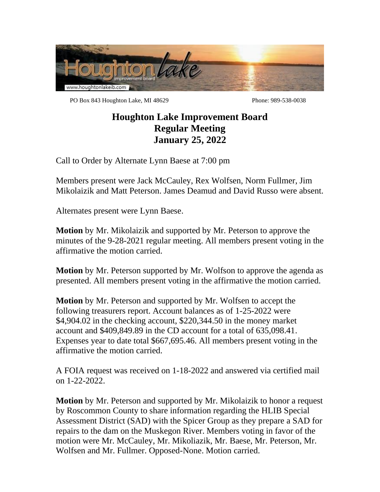

PO Box 843 Houghton Lake, MI 48629 Phone: 989-538-0038

## **Houghton Lake Improvement Board Regular Meeting January 25, 2022**

Call to Order by Alternate Lynn Baese at 7:00 pm

Members present were Jack McCauley, Rex Wolfsen, Norm Fullmer, Jim Mikolaizik and Matt Peterson. James Deamud and David Russo were absent.

Alternates present were Lynn Baese.

**Motion** by Mr. Mikolaizik and supported by Mr. Peterson to approve the minutes of the 9-28-2021 regular meeting. All members present voting in the affirmative the motion carried.

**Motion** by Mr. Peterson supported by Mr. Wolfson to approve the agenda as presented. All members present voting in the affirmative the motion carried.

**Motion** by Mr. Peterson and supported by Mr. Wolfsen to accept the following treasurers report. Account balances as of 1-25-2022 were \$4,904.02 in the checking account, \$220,344.50 in the money market account and \$409,849.89 in the CD account for a total of 635,098.41. Expenses year to date total \$667,695.46. All members present voting in the affirmative the motion carried.

A FOIA request was received on 1-18-2022 and answered via certified mail on 1-22-2022.

**Motion** by Mr. Peterson and supported by Mr. Mikolaizik to honor a request by Roscommon County to share information regarding the HLIB Special Assessment District (SAD) with the Spicer Group as they prepare a SAD for repairs to the dam on the Muskegon River. Members voting in favor of the motion were Mr. McCauley, Mr. Mikoliazik, Mr. Baese, Mr. Peterson, Mr. Wolfsen and Mr. Fullmer. Opposed-None. Motion carried.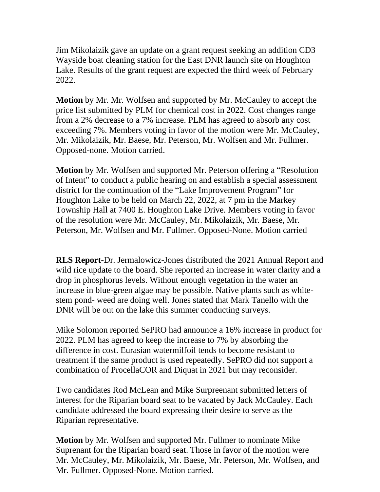Jim Mikolaizik gave an update on a grant request seeking an addition CD3 Wayside boat cleaning station for the East DNR launch site on Houghton Lake. Results of the grant request are expected the third week of February 2022.

**Motion** by Mr. Mr. Wolfsen and supported by Mr. McCauley to accept the price list submitted by PLM for chemical cost in 2022. Cost changes range from a 2% decrease to a 7% increase. PLM has agreed to absorb any cost exceeding 7%. Members voting in favor of the motion were Mr. McCauley, Mr. Mikolaizik, Mr. Baese, Mr. Peterson, Mr. Wolfsen and Mr. Fullmer. Opposed-none. Motion carried.

**Motion** by Mr. Wolfsen and supported Mr. Peterson offering a "Resolution of Intent" to conduct a public hearing on and establish a special assessment district for the continuation of the "Lake Improvement Program" for Houghton Lake to be held on March 22, 2022, at 7 pm in the Markey Township Hall at 7400 E. Houghton Lake Drive. Members voting in favor of the resolution were Mr. McCauley, Mr. Mikolaizik, Mr. Baese, Mr. Peterson, Mr. Wolfsen and Mr. Fullmer. Opposed-None. Motion carried

**RLS Report-**Dr. Jermalowicz-Jones distributed the 2021 Annual Report and wild rice update to the board. She reported an increase in water clarity and a drop in phosphorus levels. Without enough vegetation in the water an increase in blue-green algae may be possible. Native plants such as whitestem pond- weed are doing well. Jones stated that Mark Tanello with the DNR will be out on the lake this summer conducting surveys.

Mike Solomon reported SePRO had announce a 16% increase in product for 2022. PLM has agreed to keep the increase to 7% by absorbing the difference in cost. Eurasian watermilfoil tends to become resistant to treatment if the same product is used repeatedly. SePRO did not support a combination of ProcellaCOR and Diquat in 2021 but may reconsider.

Two candidates Rod McLean and Mike Surpreenant submitted letters of interest for the Riparian board seat to be vacated by Jack McCauley. Each candidate addressed the board expressing their desire to serve as the Riparian representative.

**Motion** by Mr. Wolfsen and supported Mr. Fullmer to nominate Mike Suprenant for the Riparian board seat. Those in favor of the motion were Mr. McCauley, Mr. Mikolaizik, Mr. Baese, Mr. Peterson, Mr. Wolfsen, and Mr. Fullmer. Opposed-None. Motion carried.